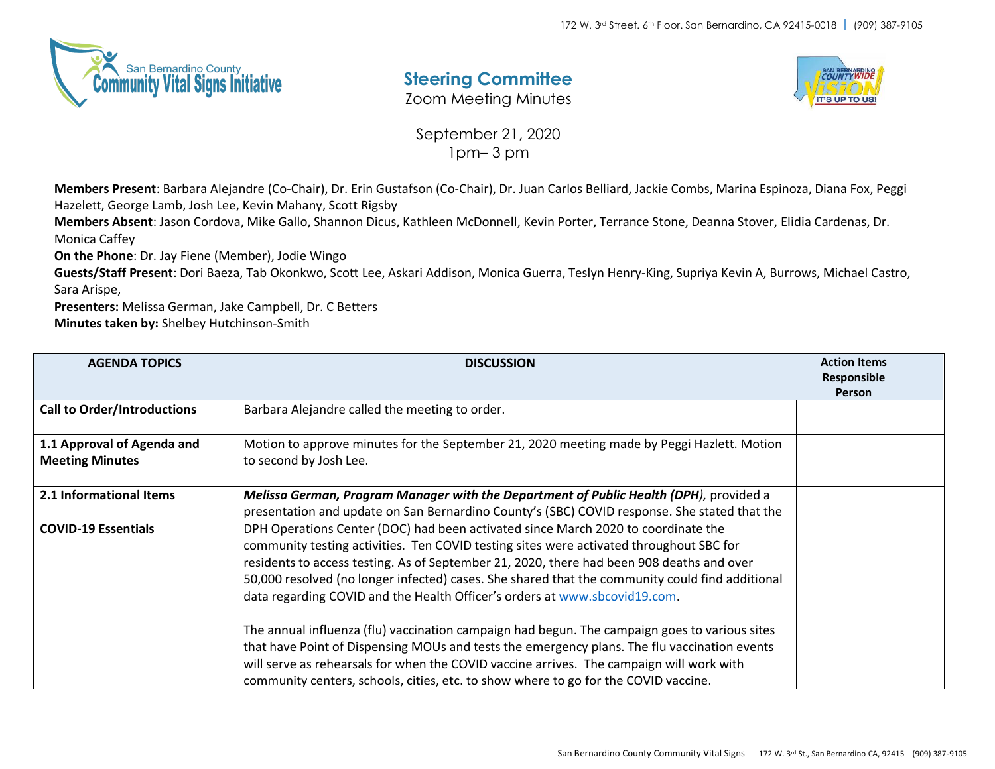

## **Steering Committee**

Zoom Meeting Minutes



September 21, 2020 1pm– 3 pm

**Members Present**: Barbara Alejandre (Co-Chair), Dr. Erin Gustafson (Co-Chair), Dr. Juan Carlos Belliard, Jackie Combs, Marina Espinoza, Diana Fox, Peggi Hazelett, George Lamb, Josh Lee, Kevin Mahany, Scott Rigsby

**Members Absent**: Jason Cordova, Mike Gallo, Shannon Dicus, Kathleen McDonnell, Kevin Porter, Terrance Stone, Deanna Stover, Elidia Cardenas, Dr. Monica Caffey

**On the Phone**: Dr. Jay Fiene (Member), Jodie Wingo

**Guests/Staff Present**: Dori Baeza, Tab Okonkwo, Scott Lee, Askari Addison, Monica Guerra, Teslyn Henry-King, Supriya Kevin A, Burrows, Michael Castro, Sara Arispe,

**Presenters:** Melissa German, Jake Campbell, Dr. C Betters

**Minutes taken by:** Shelbey Hutchinson-Smith

| <b>AGENDA TOPICS</b>               | <b>DISCUSSION</b>                                                                               | <b>Action Items</b><br>Responsible |
|------------------------------------|-------------------------------------------------------------------------------------------------|------------------------------------|
|                                    |                                                                                                 | <b>Person</b>                      |
| <b>Call to Order/Introductions</b> | Barbara Alejandre called the meeting to order.                                                  |                                    |
| 1.1 Approval of Agenda and         | Motion to approve minutes for the September 21, 2020 meeting made by Peggi Hazlett. Motion      |                                    |
| <b>Meeting Minutes</b>             | to second by Josh Lee.                                                                          |                                    |
| 2.1 Informational Items            | Melissa German, Program Manager with the Department of Public Health (DPH), provided a          |                                    |
|                                    | presentation and update on San Bernardino County's (SBC) COVID response. She stated that the    |                                    |
| <b>COVID-19 Essentials</b>         | DPH Operations Center (DOC) had been activated since March 2020 to coordinate the               |                                    |
|                                    | community testing activities. Ten COVID testing sites were activated throughout SBC for         |                                    |
|                                    | residents to access testing. As of September 21, 2020, there had been 908 deaths and over       |                                    |
|                                    | 50,000 resolved (no longer infected) cases. She shared that the community could find additional |                                    |
|                                    | data regarding COVID and the Health Officer's orders at www.sbcovid19.com.                      |                                    |
|                                    | The annual influenza (flu) vaccination campaign had begun. The campaign goes to various sites   |                                    |
|                                    | that have Point of Dispensing MOUs and tests the emergency plans. The flu vaccination events    |                                    |
|                                    | will serve as rehearsals for when the COVID vaccine arrives. The campaign will work with        |                                    |
|                                    | community centers, schools, cities, etc. to show where to go for the COVID vaccine.             |                                    |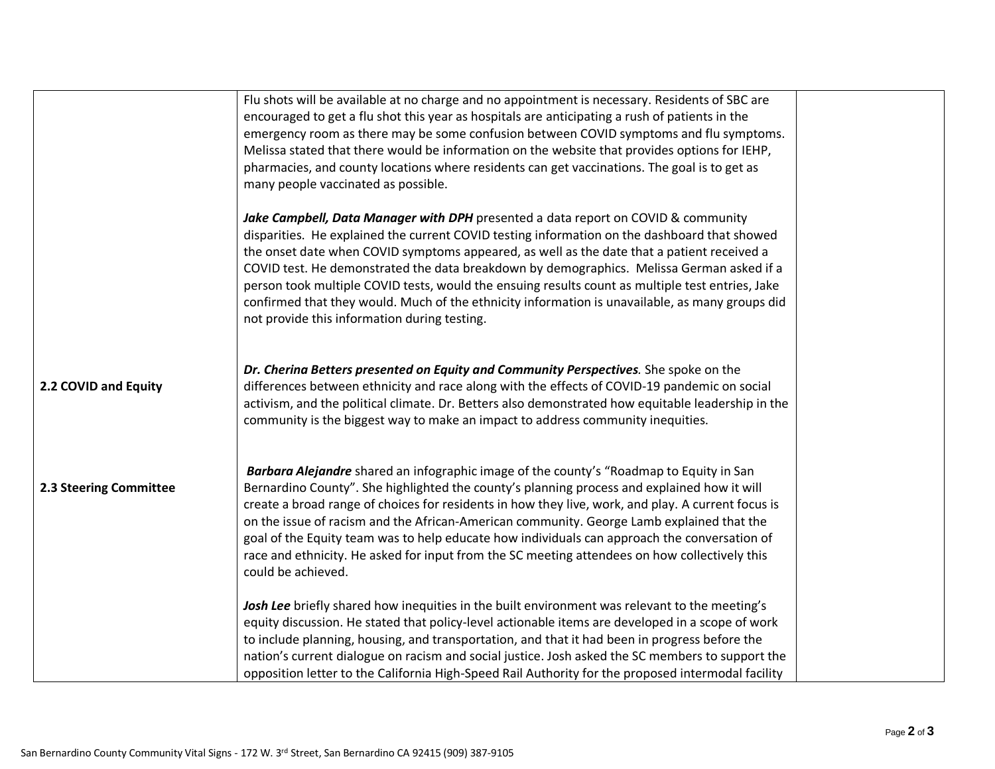|                        | Flu shots will be available at no charge and no appointment is necessary. Residents of SBC are<br>encouraged to get a flu shot this year as hospitals are anticipating a rush of patients in the<br>emergency room as there may be some confusion between COVID symptoms and flu symptoms.<br>Melissa stated that there would be information on the website that provides options for IEHP,<br>pharmacies, and county locations where residents can get vaccinations. The goal is to get as<br>many people vaccinated as possible.                                                                                                  |  |
|------------------------|-------------------------------------------------------------------------------------------------------------------------------------------------------------------------------------------------------------------------------------------------------------------------------------------------------------------------------------------------------------------------------------------------------------------------------------------------------------------------------------------------------------------------------------------------------------------------------------------------------------------------------------|--|
|                        | Jake Campbell, Data Manager with DPH presented a data report on COVID & community<br>disparities. He explained the current COVID testing information on the dashboard that showed<br>the onset date when COVID symptoms appeared, as well as the date that a patient received a<br>COVID test. He demonstrated the data breakdown by demographics. Melissa German asked if a<br>person took multiple COVID tests, would the ensuing results count as multiple test entries, Jake<br>confirmed that they would. Much of the ethnicity information is unavailable, as many groups did<br>not provide this information during testing. |  |
| 2.2 COVID and Equity   | Dr. Cherina Betters presented on Equity and Community Perspectives. She spoke on the<br>differences between ethnicity and race along with the effects of COVID-19 pandemic on social<br>activism, and the political climate. Dr. Betters also demonstrated how equitable leadership in the<br>community is the biggest way to make an impact to address community inequities.                                                                                                                                                                                                                                                       |  |
| 2.3 Steering Committee | Barbara Alejandre shared an infographic image of the county's "Roadmap to Equity in San<br>Bernardino County". She highlighted the county's planning process and explained how it will<br>create a broad range of choices for residents in how they live, work, and play. A current focus is<br>on the issue of racism and the African-American community. George Lamb explained that the<br>goal of the Equity team was to help educate how individuals can approach the conversation of<br>race and ethnicity. He asked for input from the SC meeting attendees on how collectively this<br>could be achieved.                    |  |
|                        | Josh Lee briefly shared how inequities in the built environment was relevant to the meeting's<br>equity discussion. He stated that policy-level actionable items are developed in a scope of work<br>to include planning, housing, and transportation, and that it had been in progress before the<br>nation's current dialogue on racism and social justice. Josh asked the SC members to support the<br>opposition letter to the California High-Speed Rail Authority for the proposed intermodal facility                                                                                                                        |  |